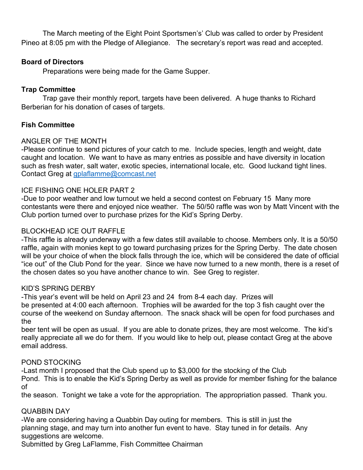The March meeting of the Eight Point Sportsmen's' Club was called to order by President Pineo at 8:05 pm with the Pledge of Allegiance. The secretary's report was read and accepted.

# **Board of Directors**

Preparations were being made for the Game Supper.

## **Trap Committee**

Trap gave their monthly report, targets have been delivered. A huge thanks to Richard Berberian for his donation of cases of targets.

## **Fish Committee**

## ANGLER OF THE MONTH

-Please continue to send pictures of your catch to me. Include species, length and weight, date caught and location. We want to have as many entries as possible and have diversity in location such as fresh water, salt water, exotic species, international locale, etc. Good luckand tight lines. Contact Greg at [gplaflamme@comcast.net](mailto:gplaflamme@comcast.net)

## ICE FISHING ONE HOLER PART 2

-Due to poor weather and low turnout we held a second contest on February 15 Many more contestants were there and enjoyed nice weather. The 50/50 raffle was won by Matt Vincent with the Club portion turned over to purchase prizes for the Kid's Spring Derby.

# BLOCKHEAD ICE OUT RAFFLE

-This raffle is already underway with a few dates still available to choose. Members only. It is a 50/50 raffle, again with monies kept to go toward purchasing prizes for the Spring Derby. The date chosen will be your choice of when the block falls through the ice, which will be considered the date of official "ice out" of the Club Pond for the year. Since we have now turned to a new month, there is a reset of the chosen dates so you have another chance to win. See Greg to register.

### KID'S SPRING DERBY

-This year's event will be held on April 23 and 24 from 8-4 each day. Prizes will be presented at 4:00 each afternoon. Trophies will be awarded for the top 3 fish caught over the course of the weekend on Sunday afternoon. The snack shack will be open for food purchases and the

beer tent will be open as usual. If you are able to donate prizes, they are most welcome. The kid's really appreciate all we do for them. If you would like to help out, please contact Greg at the above email address.

### POND STOCKING

-Last month I proposed that the Club spend up to \$3,000 for the stocking of the Club Pond. This is to enable the Kid's Spring Derby as well as provide for member fishing for the balance of

the season. Tonight we take a vote for the appropriation. The appropriation passed. Thank you.

### QUABBIN DAY

-We are considering having a Quabbin Day outing for members. This is still in just the planning stage, and may turn into another fun event to have. Stay tuned in for details. Any suggestions are welcome.

Submitted by Greg LaFlamme, Fish Committee Chairman